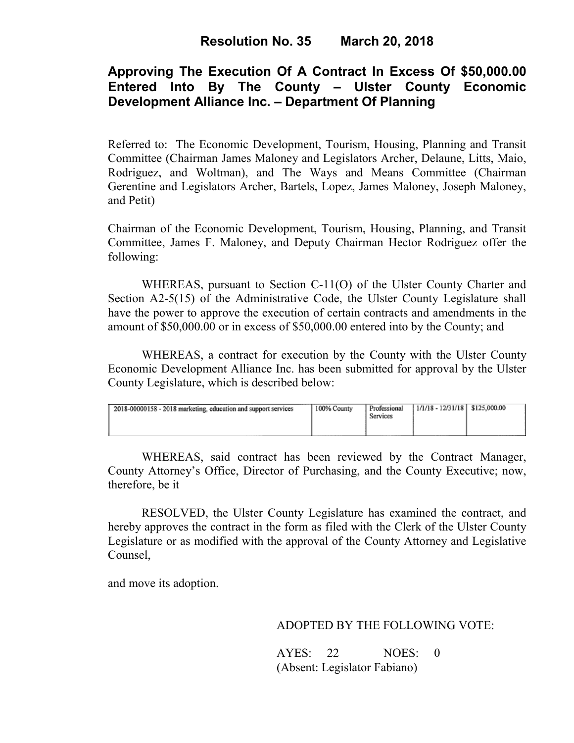## **Approving The Execution Of A Contract In Excess Of \$50,000.00 Entered Into By The County – Ulster County Economic Development Alliance Inc. – Department Of Planning**

Referred to: The Economic Development, Tourism, Housing, Planning and Transit Committee (Chairman James Maloney and Legislators Archer, Delaune, Litts, Maio, Rodriguez, and Woltman), and The Ways and Means Committee (Chairman Gerentine and Legislators Archer, Bartels, Lopez, James Maloney, Joseph Maloney, and Petit)

Chairman of the Economic Development, Tourism, Housing, Planning, and Transit Committee, James F. Maloney, and Deputy Chairman Hector Rodriguez offer the following:

WHEREAS, pursuant to Section C-11(O) of the Ulster County Charter and Section A2-5(15) of the Administrative Code, the Ulster County Legislature shall have the power to approve the execution of certain contracts and amendments in the amount of \$50,000.00 or in excess of \$50,000.00 entered into by the County; and

 WHEREAS, a contract for execution by the County with the Ulster County Economic Development Alliance Inc. has been submitted for approval by the Ulster County Legislature, which is described below:

| 2018-00000158 - 2018 marketing, education and support services | 100% County | Professional<br>Services | $1/1/18 - 12/31/18$ \$125,000.00 |  |  |
|----------------------------------------------------------------|-------------|--------------------------|----------------------------------|--|--|
|----------------------------------------------------------------|-------------|--------------------------|----------------------------------|--|--|

WHEREAS, said contract has been reviewed by the Contract Manager, County Attorney's Office, Director of Purchasing, and the County Executive; now, therefore, be it

RESOLVED, the Ulster County Legislature has examined the contract, and hereby approves the contract in the form as filed with the Clerk of the Ulster County Legislature or as modified with the approval of the County Attorney and Legislative Counsel,

and move its adoption.

ADOPTED BY THE FOLLOWING VOTE:

| AYES: 22 | NOES: 0                      |  |
|----------|------------------------------|--|
|          | (Absent: Legislator Fabiano) |  |